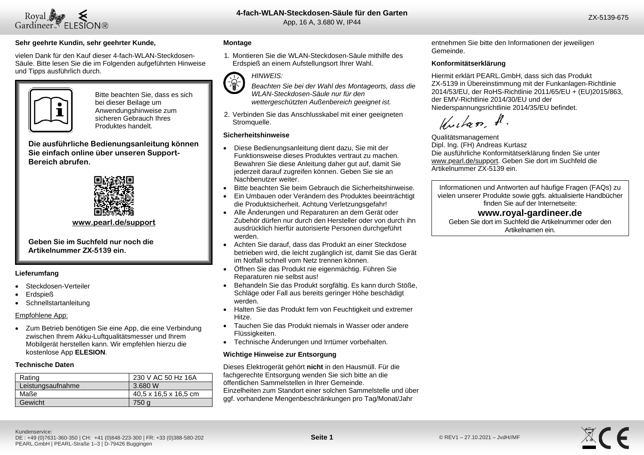

### **4-fach-WLAN-Steckdosen-Säule für den Garten** App, 16 A, 3.680 W, IP44

 $20<sup>2</sup>$ 

### **Sehr geehrte Kundin, sehr geehrter Kunde,**

vielen Dank für den Kauf dieser 4-fach-WLAN-Steckdosen-Säule. Bitte lesen Sie die im Folgenden aufgeführten Hinweise und Tipps ausführlich durch.



Bitte beachten Sie, dass es sich bei dieser Beilage um Anwendungshinweise zum sicheren Gebrauch Ihres Produktes handelt.

**Die ausführliche Bedienungsanleitung können Sie einfach online über unseren Support-Bereich abrufen.**



### **[www.pearl.de/support](http://www.pearl.de/support)**

**Geben Sie im Suchfeld nur noch die Artikelnummer ZX-5139 ein.**

### **Lieferumfang**

- Steckdosen-Verteiler
- Erdspieß
- **Schnellstartanleitung**

### Empfohlene App:

• Zum Betrieb benötigen Sie eine App, die eine Verbindung zwischen Ihrem Akku-Luftqualitätsmesser und Ihrem Mobilgerät herstellen kann. Wir empfehlen hierzu die kostenlose App **ELESION**.

### **Technische Daten**

| Rating            | 230 V AC 50 Hz 16A    |
|-------------------|-----------------------|
| Leistungsaufnahme | 3.680 W               |
| Maße              | 40,5 x 16,5 x 16,5 cm |
| Gewicht           | 750 a                 |

### **Montage**

1. Montieren Sie die WLAN-Steckdosen-Säule mithilfe des Erdspieß an einem Aufstellungsort Ihrer Wahl.

# *HINWEIS:*



*Beachten Sie bei der Wahl des Montageorts, dass die WLAN-Steckdosen-Säule nur für den wettergeschützten Außenbereich geeignet ist.*

2. Verbinden Sie das Anschlusskabel mit einer geeigneten Stromquelle.

### **Sicherheitshinweise**

- Diese Bedienungsanleitung dient dazu, Sie mit der Funktionsweise dieses Produktes vertraut zu machen. Bewahren Sie diese Anleitung daher gut auf, damit Sie jederzeit darauf zugreifen können. Geben Sie sie an Nachbenutzer weiter.
- Bitte beachten Sie beim Gebrauch die Sicherheitshinweise.
- Ein Umbauen oder Verändern des Produktes beeinträchtigt die Produktsicherheit. Achtung Verletzungsgefahr!
- Alle Änderungen und Reparaturen an dem Gerät oder Zubehör dürfen nur durch den Hersteller oder von durch ihn ausdrücklich hierfür autorisierte Personen durchgeführt werden.
- Achten Sie darauf, dass das Produkt an einer Steckdose betrieben wird, die leicht zugänglich ist, damit Sie das Gerät im Notfall schnell vom Netz trennen können.
- Öffnen Sie das Produkt nie eigenmächtig. Führen Sie Reparaturen nie selbst aus!
- Behandeln Sie das Produkt sorgfältig. Es kann durch Stöße, Schläge oder Fall aus bereits geringer Höhe beschädigt werden.
- Halten Sie das Produkt fern von Feuchtigkeit und extremer Hitze.
- Tauchen Sie das Produkt niemals in Wasser oder andere Flüssigkeiten.
- Technische Änderungen und Irrtümer vorbehalten.

### **Wichtige Hinweise zur Entsorgung**

Dieses Elektrogerät gehört **nicht** in den Hausmüll. Für die fachgerechte Entsorgung wenden Sie sich bitte an die öffentlichen Sammelstellen in Ihrer Gemeinde. Einzelheiten zum Standort einer solchen Sammelstelle und über ggf. vorhandene Mengenbeschränkungen pro Tag/Monat/Jahr

entnehmen Sie bitte den Informationen der jeweiligen Gemeinde.

### **Konformitätserklärung**

Hiermit erklärt PEARL.GmbH, dass sich das Produkt ZX-5139 in Übereinstimmung mit der Funkanlagen-Richtlinie 2014/53/EU, der RoHS-Richtlinie 2011/65/EU + (EU)2015/863, der EMV-Richtlinie 2014/30/EU und der Niederspannungsrichtlinie 2014/35/EU befindet.

Kuitan, A.

Qualitätsmanagement Dipl. Ing. (FH) Andreas Kurtasz Die ausführliche Konformitätserklärung finden Sie unter www.pearl.de/support. Geben Sie dort im Suchfeld die Artikelnummer ZX-5139 ein.

Informationen und Antworten auf häufige Fragen (FAQs) zu vielen unserer Produkte sowie ggfs. aktualisierte Handbücher finden Sie auf der Internetseite:

## **www.royal-gardineer.de**

Geben Sie dort im Suchfeld die Artikelnummer oder den Artikelnamen ein.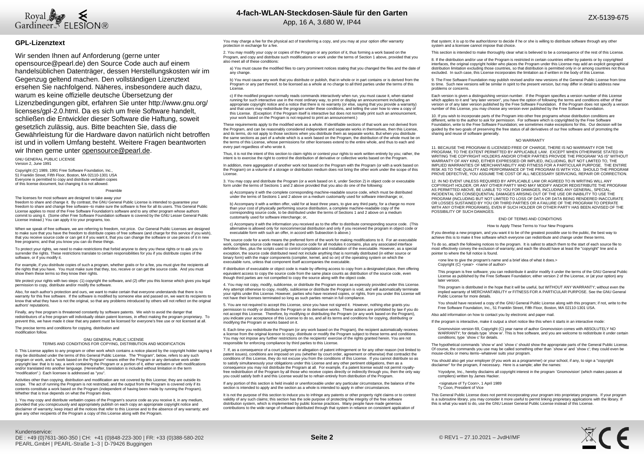

### **GPL-Lizenztext**

Wir senden Ihnen auf Anforderung (gerne unter opensource@pearl.de) den Source Code auch auf einem handelsüblichen Datenträger, dessen Herstellungskosten wir im Gegenzug geltend machen. Den vollständigen Lizenztext ersehen Sie nachfolgend. Näheres, insbesondere auch dazu, warum es keine offizielle deutsche Übersetzung der Lizenzbedingungen gibt, erfahren Sie unter http://www.gnu.org/ licenses/gpl-2.0.html. Da es sich um freie Software handelt, schließen die Entwickler dieser Software die Haftung, soweit gesetzlich zulässig, aus. Bitte beachten Sie, dass die Gewährleistung für die Hardware davon natürlich nicht betroffen ist und in vollem Umfang besteht. Weitere Fragen beantworten wir Ihnen gerne unter opensource@pearl.de

GNU GENERAL PUBLIC LICENSE Version 2, June 1991

Copyright (C) 1989, 1991 Free Software Foundation, Inc. 51 Franklin Street, Fifth Floor, Boston, MA 02110-1301 USA Everyone is permitted to copy and distribute verbatim copies of this license document, but changing it is not allowed.

#### Preamble

The licenses for most software are designed to take away your freedom to share and change it. By contrast, the GNU General Public License is intended to guarantee your freedom to share and change free software--to make sure the software is free for all its users. This General Public License applies to most of the Free Software Foundation's software and to any other program whose authors commit to using it. (Some other Free Software Foundation software is covered by the GNU Lesser General Public License instead.) You can apply it to your programs, too.

When we speak of free software, we are referring to freedom, not price. Our General Public Licenses are designed to make sure that you have the freedom to distribute copies of free software (and charge for this service if you wish), that you receive source code or can get it if you want it, that you can change the software or use pieces of it in new free programs; and that you know you can do these things.

To protect your rights, we need to make restrictions that forbid anyone to deny you these rights or to ask you to surrender the rights. These restrictions translate to certain responsibilities for you if you distribute copies of the software, or if you modify it.

For example, if you distribute copies of such a program, whether gratis or for a fee, you must give the recipients all the rights that you have. You must make sure that they, too, receive or can get the source code. And you must show them these terms so they know their rights.

We protect your rights with two steps: (1) copyright the software, and (2) offer you this license which gives you legal permission to copy, distribute and/or modify the software.

Also, for each author's protection and ours, we want to make certain that everyone understands that there is no warranty for this free software. If the software is modified by someone else and passed on, we want its recipients to<br>know that what they have is not the original, so that any problems introduced by others will not reflect authors' reputations.

Finally, any free program is threatened constantly by software patents. We wish to avoid the danger that redistributors of a free program will individually obtain patent licenses, in effect making the program proprietary. To prevent this, we have made it clear that any patent must be licensed for everyone's free use or not licensed at all.

The precise terms and conditions for copying, distribution and modification follow.

#### GNU GENERAL PUBLIC LICENSE TERMS AND CONDITIONS FOR COPYING, DISTRIBUTION AND MODIFICATION

0. This License applies to any program or other work which contains a notice placed by the copyright holder saying it may be distributed under the terms of this General Public License. The "Program", below, refers to any such program or work, and a "work based on the Program" means either the Program or any derivative work under copyright law: that is to say, a work containing the Program or a portion of it, either verbatim or with modifications and/or translated into another language. (Hereinafter, translation is included without limitation in the term "modification".) Each licensee is addressed as "you".

Activities other than copying, distribution and modification are not covered by this License; they are outside its scope. The act of running the Program is not restricted, and the output from the Program is covered only if its contents constitute a work based on the Program (independent of having been made by running the Program). Whether that is true depends on what the Program does.

1. You may copy and distribute verbatim copies of the Program's source code as you receive it, in any medium, provided that you conspicuously and appropriately publish on each copy an appropriate copyright notice and disclaimer of warranty; keep intact all the notices that refer to this License and to the absence of any warranty; and give any other recipients of the Program a copy of this License along with the Program.

You may charge a fee for the physical act of transferring a copy, and you may at your option offer warranty protection in exchange for a fee.

2. You may modify your copy or copies of the Program or any portion of it, thus forming a work based on the Program, and copy and distribute such modifications or work under the terms of Section 1 above, provided that you also meet all of these conditions:

a) You must cause the modified files to carry prominent notices stating that you changed the files and the date of any change.

b) You must cause any work that you distribute or publish, that in whole or in part contains or is derived from the Program or any part thereof, to be licensed as a whole at no charge to all third parties under the terms of this License.

c) If the modified program normally reads commands interactively when run, you must cause it, when started running for such interactive use in the most ordinary way, to print or display an announcement including an appropriate copyright notice and a notice that there is no warranty (or else, saying that you provide a warranty) and that users may redistribute the program under these conditions, and telling the user how to view a copy of this License. (Exception: if the Program itself is interactive but does not normally print such an announcement, your work based on the Program is not required to print an announcement.)

These requirements apply to the modified work as a whole. If identifiable sections of that work are not derived from the Program, and can be reasonably considered independent and separate works in themselves, then this License, and its terms, do not apply to those sections when you distribute them as separate works. But when you distribute the same sections as part of a whole which is a work based on the Program, the distribution of the whole must be on the terms of this License, whose permissions for other licensees extend to the entire whole, and thus to each and every part regardless of who wrote it.

Thus, it is not the intent of this section to claim rights or contest your rights to work written entirely by you; rather, the intent is to exercise the right to control the distribution of derivative or collective works based on the Program.

In addition, mere aggregation of another work not based on the Program with the Program (or with a work based on the Program) on a volume of a storage or distribution medium does not bring the other work under the scope of this License.

3. You may copy and distribute the Program (or a work based on it, under Section 2) in object code or executable form under the terms of Sections 1 and 2 above provided that you also do one of the following:

a) Accompany it with the complete corresponding machine-readable source code, which must be distributed under the terms of Sections 1 and 2 above on a medium customarily used for software interchange; or,

b) Accompany it with a written offer, valid for at least three years, to give any third party, for a charge no more than your cost of physically performing source distribution, a complete machine-readable copy of the corresponding source code, to be distributed under the terms of Sections 1 and 2 above on a medium customarily used for software interchange; or,

c) Accompany it with the information you received as to the offer to distribute corresponding source code. (This alternative is allowed only for noncommercial distribution and only if you received the program in object code or executable form with such an offer, in accord with Subsection b above.)

The source code for a work means the preferred form of the work for making modifications to it. For an executable work, complete source code means all the source code for all modules it contains, plus any associated interface definition files, plus the scripts used to control compilation and installation of the executable. However, as a special exception, the source code distributed need not include anything that is normally distributed (in either source or binary form) with the major components (compiler, kernel, and so on) of the operating system on which the executable runs, unless that component itself accompanies the executable.

If distribution of executable or object code is made by offering access to copy from a designated place, then offering equivalent access to copy the source code from the same place counts as distribution of the source code, even though third parties are not compelled to copy the source along with the object code.

4. You may not copy, modify, sublicense, or distribute the Program except as expressly provided under this License. Any attempt otherwise to copy, modify, sublicense or distribute the Program is void, and will automatically terminate your rights under this License. However, parties who have received copies, or rights, from you under this License will not have their licenses terminated so long as such parties remain in full compliance.

5. You are not required to accept this License, since you have not signed it. However, nothing else grants you permission to modify or distribute the Program or its derivative works. These actions are prohibited by law if you do not accept this License. Therefore, by modifying or distributing the Program (or any work based on the Program), you indicate your acceptance of this License to do so, and all its terms and conditions for copying, distributing or modifying the Program or works based on it.

6. Each time you redistribute the Program (or any work based on the Program), the recipient automatically receives<br>a license from the original licensor to copy, distribute or modify the Program subject to these terms and c You may not impose any further restrictions on the recipients' exercise of the rights granted herein. You are not responsible for enforcing compliance by third parties to this License.

7. If, as a consequence of a court judgment or allegation of patent infringement or for any other reason (not limited to patent issues), conditions are imposed on you (whether by court order, agreement or otherwise) that contradict the conditions of this License, they do not excuse you from the conditions of this License. If you cannot distribute so as to satisfy simultaneously your obligations under this License and any other pertinent obligations, then as a consequence you may not distribute the Program at all. For example, if a patent license would not permit royaltyfree redistribution of the Program by all those who receive copies directly or indirectly through you, then the only way you could satisfy both it and this License would be to refrain entirely from distribution of the Program.

If any portion of this section is held invalid or unenforceable under any particular circumstance, the balance of the section is intended to apply and the section as a whole is intended to apply in other circumstances.

It is not the purpose of this section to induce you to infringe any patents or other property right claims or to contest validity of any such claims; this section has the sole purpose of protecting the integrity of the free software distribution system, which is implemented by public license practices. Many people have made generous contributions to the wide range of software distributed through that system in reliance on consistent application of

that system; it is up to the author/donor to decide if he or she is willing to distribute software through any other system and a licensee cannot impose that choice.

This section is intended to make thoroughly clear what is believed to be a consequence of the rest of this License.

8. If the distribution and/or use of the Program is restricted in certain countries either by patents or by copyrighted interfaces, the original copyright holder who places the Program under this License may add an explicit geographical distribution limitation excluding those countries, so that distribution is permitted only in or among countries not thus excluded. In such case, this License incorporates the limitation as if written in the body of this License.

9. The Free Software Foundation may publish revised and/or new versions of the General Public License from time to time. Such new versions will be similar in spirit to the present version, but may differ in detail to address new problems or concerns.

Each version is given a distinguishing version number. If the Program specifies a version number of this License which applies to it and "any later version", you have the option of following the terms and conditions either of that version or of any later version published by the Free Software Foundation. If the Program does not specify a version number of this License, you may choose any version ever published by the Free Software Foundation.

10. If you wish to incorporate parts of the Program into other free programs whose distribution conditions are different, write to the author to ask for permission. For software which is copyrighted by the Free Software Foundation, write to the Free Software Foundation; we sometimes make exceptions for this. Our decision will be guided by the two goals of preserving the free status of all derivatives of our free software and of promoting the galacd by the two goals or preserving the<br>sharing and reuse of software generally.

#### NO WARRANTY

11. BECAUSE THE PROGRAM IS LICENSED FREE OF CHARGE, THERE IS NO WARRANTY FOR THE PROGRAM, TO THE EXTENT PERMITTED BY APPLICABLE LAW. EXCEPT WHEN OTHERWISE STATED IN WRITING THE COPYRIGHT HOLDERS AND/OR OTHER PARTIES PROVIDE THE PROGRAM "AS IS" WITHOUT WARRANTY OF ANY KIND, EITHER EXPRESSED OR IMPLIED, INCLUDING, BUT NOT LIMITED TO, THE IMPLIED WARRANTIES OF MERCHANTABILITY AND FITNESS FOR A PARTICULAR PURPOSE. THE ENTIRE RISK AS TO THE QUALITY AND PERFORMANCE OF THE PROGRAM IS WITH YOU. SHOULD THE PROGRAM PROVE DEFECTIVE, YOU ASSUME THE COST OF ALL NECESSARY SERVICING, REPAIR OR CORRECTION.

12. IN NO EVENT UNLESS REQUIRED BY APPLICABLE LAW OR AGREED TO IN WRITING WILL ANY COPYRIGHT HOLDER, OR ANY OTHER PARTY WHO MAY MODIFY AND/OR REDISTRIBUTE THE PROGRAM AS PERMITTED ABOVE, BE LIABLE TO YOU FOR DAMAGES, INCLUDING ANY GENERAL, SPECIAL, INCIDENTAL OR CONSEQUENTIAL DAMAGES ARISING OUT OF THE USE OR INABILITY TO USE THE PROGRAM (INCLUDING BUT NOT LIMITED TO LOSS OF DATA OR DATA BEING RENDERED INACCURATE OR LOSSES SUSTAINED BY YOU OR THIRD PARTIES OR A FAILURE OF THE PROGRAM TO OPERATE WITH ANY OTHER PROGRAMS), EVEN IF SUCH HOLDER OR OTHER PARTY HAS BEEN ADVISED OF THE POSSIBILITY OF SUCH DAMAGES.

#### END OF TERMS AND CONDITIONS

#### How to Apply These Terms to Your New Programs

If you develop a new program, and you want it to be of the greatest possible use to the public, the best way to achieve this is to make it free software which everyone can redistribute and change under these terms.

To do so, attach the following notices to the program. It is safest to attach them to the start of each source file to most effectively convey the exclusion of warranty; and each file should have at least the "copyright" line and a pointer to where the full notice is found.

<one line to give the program's name and a brief idea of what it does.> Copyright (C) <year> <name of author>

This program is free software; you can redistribute it and/or modify it under the terms of the GNU General Public License as published by the Free Software Foundation; either version 2 of the License, or (at your option) any later version.

This program is distributed in the hope that it will be useful, but WITHOUT ANY WARRANTY; without even the implied warranty of MERCHANTABILITY or FITNESS FOR A PARTICULAR PURPOSE. See the GNU General Public License for more details.

You should have received a copy of the GNU General Public License along with this program; if not, write to the Free Software Foundation, Inc., 51 Franklin Street, Fifth Floor, Boston, MA 02110-1301 USA.

Also add information on how to contact you by electronic and paper mail.

If the program is interactive, make it output a short notice like this when it starts in an interactive mode:

Gnomovision version 69, Copyright (C) year name of author Gnomovision comes with ABSOLUTELY NO WARRANTY; for details type `show w'. This is free software, and you are welcome to redistribute it under certain conditions; type `show c' for details.

The hypothetical commands `show w' and `show c' should show the appropriate parts of the General Public License. Of course, the commands you use may be called something other than `show w' and `show c'; they could even be mouse-clicks or menu items--whatever suits your program.

You should also get your employer (if you work as a programmer) or your school, if any, to sign a "copyright disclaimer" for the program, if necessary. Here is a sample; alter the names:

Yoyodyne, Inc., hereby disclaims all copyright interest in the program `Gnomovision' (which makes passes at compilers) written by James Hacker.

<signature of Ty Coon>, 1 April 1989 Ty Coon, President of Vice

This General Public License does not permit incorporating your program into proprietary programs. If your program is a subroutine library, you may consider it more useful to permit linking proprietary applications with the library. If this is what you want to do, use the GNU Lesser General Public License instead of this License.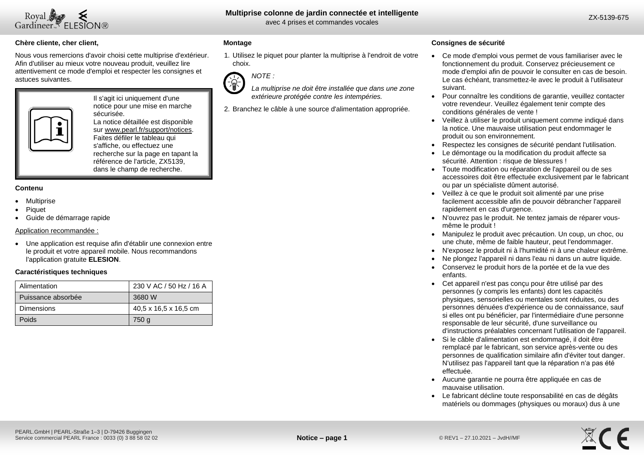

### **Chère cliente, cher client,**

Nous vous remercions d'avoir choisi cette multiprise d'extérieur. Afin d'utiliser au mieux votre nouveau produit, veuillez lire attentivement ce mode d'emploi et respecter les consignes et astuces suivantes.



Il s'agit ici uniquement d'une notice pour une mise en marche sécurisée. La notice détaillée est disponible sur www.pearl.fr/support/notices.

Faites défiler le tableau qui s'affiche, ou effectuez une recherche sur la page en tapant la référence de l'article, ZX5139, dans le champ de recherche.

### **Contenu**

- Multiprise
- Piquet
- Guide de démarrage rapide

### Application recommandée :

 Une application est requise afin d'établir une connexion entre le produit et votre appareil mobile. Nous recommandons l'application gratuite **ELESION**.

### **Caractéristiques techniques**

| Alimentation       | 230 V AC / 50 Hz / 16 A |
|--------------------|-------------------------|
| Puissance absorbée | 3680 W                  |
| <b>Dimensions</b>  | 40.5 x 16.5 x 16.5 cm   |
| Poids              | 750 g                   |

### **Montage**

1. Utilisez le piquet pour planter la multiprise à l'endroit de votre choix.



- *La multiprise ne doit être installée que dans une zone extérieure protégée contre les intempéries.*
- 2. Branchez le câble à une source d'alimentation appropriée.

### **Consignes de sécurité**

- Ce mode d'emploi vous permet de vous familiariser avec le fonctionnement du produit. Conservez précieusement ce mode d'emploi afin de pouvoir le consulter en cas de besoin. Le cas échéant, transmettez-le avec le produit à l'utilisateur suivant.
- Pour connaître les conditions de garantie, veuillez contacter votre revendeur. Veuillez également tenir compte des conditions générales de vente !
- Veillez à utiliser le produit uniquement comme indiqué dans la notice. Une mauvaise utilisation peut endommager le produit ou son environnement.
- Respectez les consignes de sécurité pendant l'utilisation.
- Le démontage ou la modification du produit affecte sa sécurité. Attention : risque de blessures !
- Toute modification ou réparation de l'appareil ou de ses accessoires doit être effectuée exclusivement par le fabricant ou par un spécialiste dûment autorisé.
- Veillez à ce que le produit soit alimenté par une prise facilement accessible afin de pouvoir débrancher l'appareil rapidement en cas d'urgence.
- N'ouvrez pas le produit. Ne tentez jamais de réparer vousmême le produit !
- Manipulez le produit avec précaution. Un coup, un choc, ou une chute, même de faible hauteur, peut l'endommager.
- N'exposez le produit ni à l'humidité ni à une chaleur extrême.
- Ne plongez l'appareil ni dans l'eau ni dans un autre liquide.
- Conservez le produit hors de la portée et de la vue des enfants.
- Cet appareil n'est pas conçu pour être utilisé par des personnes (y compris les enfants) dont les capacités physiques, sensorielles ou mentales sont réduites, ou des personnes dénuées d'expérience ou de connaissance, sauf si elles ont pu bénéficier, par l'intermédiaire d'une personne responsable de leur sécurité, d'une surveillance ou d'instructions préalables concernant l'utilisation de l'appareil.
- Si le câble d'alimentation est endommagé, il doit être remplacé par le fabricant, son service après-vente ou des personnes de qualification similaire afin d'éviter tout danger. N'utilisez pas l'appareil tant que la réparation n'a pas été effectuée.
- Aucune garantie ne pourra être appliquée en cas de mauvaise utilisation.
- Le fabricant décline toute responsabilité en cas de dégâts matériels ou dommages (physiques ou moraux) dus à une